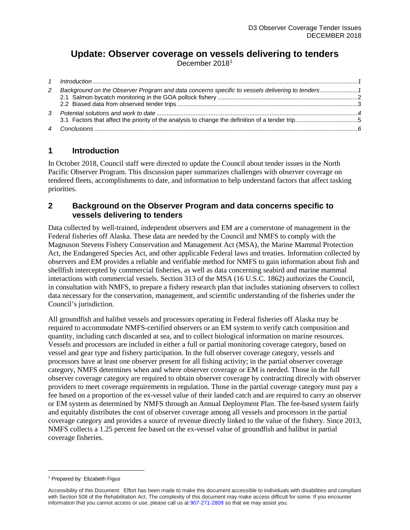# **Update: Observer coverage on vessels delivering to tenders**

December 2018[1](#page-0-2)

| 2 | Background on the Observer Program and data concerns specific to vessels delivering to tenders1 |  |
|---|-------------------------------------------------------------------------------------------------|--|
|   |                                                                                                 |  |
|   |                                                                                                 |  |
|   |                                                                                                 |  |

# <span id="page-0-0"></span>**1 Introduction**

In October 2018, Council staff were directed to update the Council about tender issues in the North Pacific Observer Program. This discussion paper summarizes challenges with observer coverage on tendered fleets, accomplishments to date, and information to help understand factors that affect tasking priorities.

# <span id="page-0-1"></span>**2 Background on the Observer Program and data concerns specific to vessels delivering to tenders**

Data collected by well-trained, independent observers and EM are a cornerstone of management in the Federal fisheries off Alaska. These data are needed by the Council and NMFS to comply with the Magnuson Stevens Fishery Conservation and Management Act (MSA), the Marine Mammal Protection Act, the Endangered Species Act, and other applicable Federal laws and treaties. Information collected by observers and EM provides a reliable and verifiable method for NMFS to gain information about fish and shellfish intercepted by commercial fisheries, as well as data concerning seabird and marine mammal interactions with commercial vessels. Section 313 of the MSA (16 U.S.C. 1862) authorizes the Council, in consultation with NMFS, to prepare a fishery research plan that includes stationing observers to collect data necessary for the conservation, management, and scientific understanding of the fisheries under the Council's jurisdiction.

All groundfish and halibut vessels and processors operating in Federal fisheries off Alaska may be required to accommodate NMFS-certified observers or an EM system to verify catch composition and quantity, including catch discarded at sea, and to collect biological information on marine resources. Vessels and processors are included in either a full or partial monitoring coverage category, based on vessel and gear type and fishery participation. In the full observer coverage category, vessels and processors have at least one observer present for all fishing activity; in the partial observer coverage category, NMFS determines when and where observer coverage or EM is needed. Those in the full observer coverage category are required to obtain observer coverage by contracting directly with observer providers to meet coverage requirements in regulation. Those in the partial coverage category must pay a fee based on a proportion of the ex-vessel value of their landed catch and are required to carry an observer or EM system as determined by NMFS through an Annual Deployment Plan. The fee-based system fairly and equitably distributes the cost of observer coverage among all vessels and processors in the partial coverage category and provides a source of revenue directly linked to the value of the fishery. Since 2013, NMFS collects a 1.25 percent fee based on the ex-vessel value of groundfish and halibut in partial coverage fisheries.

 $\overline{a}$ 

<span id="page-0-2"></span><sup>&</sup>lt;sup>1</sup> Prepared by: Elizabeth Figus

Accessibility of this Document: Effort has been made to make this document accessible to individuals with disabilities and compliant with Section 508 of the Rehabilitation Act. The complexity of this document may make access difficult for some. If you encounter information that you cannot access or use, please call us at [907-271-2809](tel:%28907%29%20586-7228) so that we may assist you.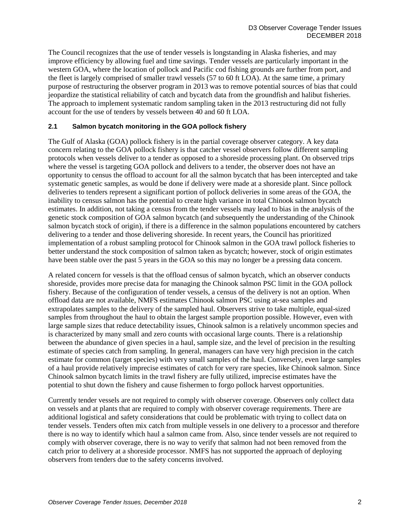The Council recognizes that the use of tender vessels is longstanding in Alaska fisheries, and may improve efficiency by allowing fuel and time savings. Tender vessels are particularly important in the western GOA, where the location of pollock and Pacific cod fishing grounds are further from port, and the fleet is largely comprised of smaller trawl vessels (57 to 60 ft LOA). At the same time, a primary purpose of restructuring the observer program in 2013 was to remove potential sources of bias that could jeopardize the statistical reliability of catch and bycatch data from the groundfish and halibut fisheries. The approach to implement systematic random sampling taken in the 2013 restructuring did not fully account for the use of tenders by vessels between 40 and 60 ft LOA.

#### <span id="page-1-0"></span>**2.1 Salmon bycatch monitoring in the GOA pollock fishery**

The Gulf of Alaska (GOA) pollock fishery is in the partial coverage observer category. A key data concern relating to the GOA pollock fishery is that catcher vessel observers follow different sampling protocols when vessels deliver to a tender as opposed to a shoreside processing plant. On observed trips where the vessel is targeting GOA pollock and delivers to a tender, the observer does not have an opportunity to census the offload to account for all the salmon bycatch that has been intercepted and take systematic genetic samples, as would be done if delivery were made at a shoreside plant. Since pollock deliveries to tenders represent a significant portion of pollock deliveries in some areas of the GOA, the inability to census salmon has the potential to create high variance in total Chinook salmon bycatch estimates. In addition, not taking a census from the tender vessels may lead to bias in the analysis of the genetic stock composition of GOA salmon bycatch (and subsequently the understanding of the Chinook salmon bycatch stock of origin), if there is a difference in the salmon populations encountered by catchers delivering to a tender and those delivering shoreside. In recent years, the Council has prioritized implementation of a robust sampling protocol for Chinook salmon in the GOA trawl pollock fisheries to better understand the stock composition of salmon taken as bycatch; however, stock of origin estimates have been stable over the past 5 years in the GOA so this may no longer be a pressing data concern.

A related concern for vessels is that the offload census of salmon bycatch, which an observer conducts shoreside, provides more precise data for managing the Chinook salmon PSC limit in the GOA pollock fishery. Because of the configuration of tender vessels, a census of the delivery is not an option. When offload data are not available, NMFS estimates Chinook salmon PSC using at-sea samples and extrapolates samples to the delivery of the sampled haul. Observers strive to take multiple, equal-sized samples from throughout the haul to obtain the largest sample proportion possible. However, even with large sample sizes that reduce detectability issues, Chinook salmon is a relatively uncommon species and is characterized by many small and zero counts with occasional large counts. There is a relationship between the abundance of given species in a haul, sample size, and the level of precision in the resulting estimate of species catch from sampling. In general, managers can have very high precision in the catch estimate for common (target species) with very small samples of the haul. Conversely, even large samples of a haul provide relatively imprecise estimates of catch for very rare species, like Chinook salmon. Since Chinook salmon bycatch limits in the trawl fishery are fully utilized, imprecise estimates have the potential to shut down the fishery and cause fishermen to forgo pollock harvest opportunities.

Currently tender vessels are not required to comply with observer coverage. Observers only collect data on vessels and at plants that are required to comply with observer coverage requirements. There are additional logistical and safety considerations that could be problematic with trying to collect data on tender vessels. Tenders often mix catch from multiple vessels in one delivery to a processor and therefore there is no way to identify which haul a salmon came from. Also, since tender vessels are not required to comply with observer coverage, there is no way to verify that salmon had not been removed from the catch prior to delivery at a shoreside processor. NMFS has not supported the approach of deploying observers from tenders due to the safety concerns involved.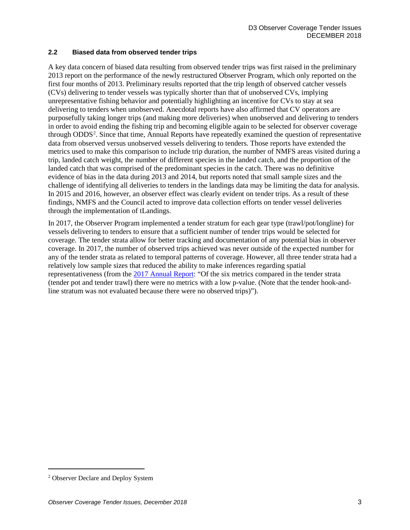#### <span id="page-2-0"></span>**2.2 Biased data from observed tender trips**

A key data concern of biased data resulting from observed tender trips was first raised in the preliminary 2013 report on the performance of the newly restructured Observer Program, which only reported on the first four months of 2013. Preliminary results reported that the trip length of observed catcher vessels (CVs) delivering to tender vessels was typically shorter than that of unobserved CVs, implying unrepresentative fishing behavior and potentially highlighting an incentive for CVs to stay at sea delivering to tenders when unobserved. Anecdotal reports have also affirmed that CV operators are purposefully taking longer trips (and making more deliveries) when unobserved and delivering to tenders in order to avoid ending the fishing trip and becoming eligible again to be selected for observer coverage through ODDS<sup>[2](#page-2-1)</sup>. Since that time, Annual Reports have repeatedly examined the question of representative data from observed versus unobserved vessels delivering to tenders. Those reports have extended the metrics used to make this comparison to include trip duration, the number of NMFS areas visited during a trip, landed catch weight, the number of different species in the landed catch, and the proportion of the landed catch that was comprised of the predominant species in the catch. There was no definitive evidence of bias in the data during 2013 and 2014, but reports noted that small sample sizes and the challenge of identifying all deliveries to tenders in the landings data may be limiting the data for analysis. In 2015 and 2016, however, an observer effect was clearly evident on tender trips. As a result of these findings, NMFS and the Council acted to improve data collection efforts on tender vessel deliveries through the implementation of tLandings.

In 2017, the Observer Program implemented a tender stratum for each gear type (trawl/pot/longline) for vessels delivering to tenders to ensure that a sufficient number of tender trips would be selected for coverage. The tender strata allow for better tracking and documentation of any potential bias in observer coverage. In 2017, the number of observed trips achieved was never outside of the expected number for any of the tender strata as related to temporal patterns of coverage. However, all three tender strata had a relatively low sample sizes that reduced the ability to make inferences regarding spatial representativeness (from the [2017 Annual Report:](http://npfmc.legistar.com/gateway.aspx?M=F&ID=26b1bd6f-d946-4ea1-b33a-ca553fc3e4b7.pdf) "Of the six metrics compared in the tender strata (tender pot and tender trawl) there were no metrics with a low p-value. (Note that the tender hook-andline stratum was not evaluated because there were no observed trips)").

 $\overline{a}$ 

<span id="page-2-1"></span><sup>2</sup> Observer Declare and Deploy System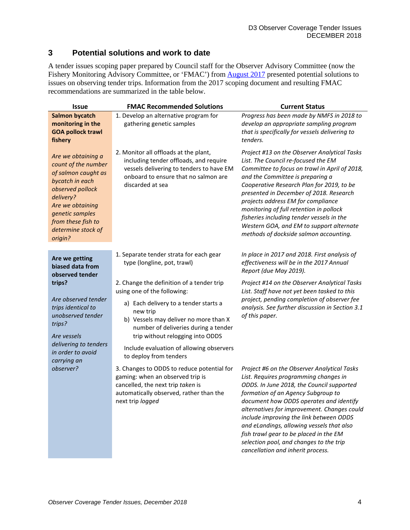# <span id="page-3-0"></span>**3 Potential solutions and work to date**

A tender issues scoping paper prepared by Council staff for the Observer Advisory Committee (now the Fishery Monitoring Advisory Committee, or 'FMAC') from **August 2017** presented potential solutions to issues on observing tender trips. Information from the 2017 scoping document and resulting FMAC recommendations are summarized in the table below.

| <b>Issue</b>                                                                                                                                                                                                       | <b>FMAC Recommended Solutions</b>                                                                                                                                                                                                                                                                                        | <b>Current Status</b>                                                                                                                                                                                                                                                                                                                                                                                                                                                                |
|--------------------------------------------------------------------------------------------------------------------------------------------------------------------------------------------------------------------|--------------------------------------------------------------------------------------------------------------------------------------------------------------------------------------------------------------------------------------------------------------------------------------------------------------------------|--------------------------------------------------------------------------------------------------------------------------------------------------------------------------------------------------------------------------------------------------------------------------------------------------------------------------------------------------------------------------------------------------------------------------------------------------------------------------------------|
| <b>Salmon bycatch</b><br>monitoring in the<br><b>GOA pollock trawl</b><br>fishery                                                                                                                                  | 1. Develop an alternative program for<br>gathering genetic samples                                                                                                                                                                                                                                                       | Progress has been made by NMFS in 2018 to<br>develop an appropriate sampling program<br>that is specifically for vessels delivering to<br>tenders.                                                                                                                                                                                                                                                                                                                                   |
| Are we obtaining a<br>count of the number<br>of salmon caught as<br>bycatch in each<br>observed pollock<br>delivery?<br>Are we obtaining<br>genetic samples<br>from these fish to<br>determine stock of<br>origin? | 2. Monitor all offloads at the plant,<br>including tender offloads, and require<br>vessels delivering to tenders to have EM<br>onboard to ensure that no salmon are<br>discarded at sea                                                                                                                                  | Project #13 on the Observer Analytical Tasks<br>List. The Council re-focused the EM<br>Committee to focus on trawl in April of 2018,<br>and the Committee is preparing a<br>Cooperative Research Plan for 2019, to be<br>presented in December of 2018. Research<br>projects address EM for compliance<br>monitoring of full retention in pollock<br>fisheries including tender vessels in the<br>Western GOA, and EM to support alternate<br>methods of dockside salmon accounting. |
| Are we getting<br>biased data from<br>observed tender                                                                                                                                                              | 1. Separate tender strata for each gear<br>type (longline, pot, trawl)                                                                                                                                                                                                                                                   | In place in 2017 and 2018. First analysis of<br>effectiveness will be in the 2017 Annual<br>Report (due May 2019).                                                                                                                                                                                                                                                                                                                                                                   |
| trips?<br>Are observed tender<br>trips identical to<br>unobserved tender<br>trips?<br>Are vessels<br>delivering to tenders<br>in order to avoid<br>carrying an<br>observer?                                        | 2. Change the definition of a tender trip<br>using one of the following:<br>a) Each delivery to a tender starts a<br>new trip<br>b) Vessels may deliver no more than X<br>number of deliveries during a tender<br>trip without relogging into ODDS<br>Include evaluation of allowing observers<br>to deploy from tenders | Project #14 on the Observer Analytical Tasks<br>List. Staff have not yet been tasked to this<br>project, pending completion of observer fee<br>analysis. See further discussion in Section 3.1<br>of this paper.                                                                                                                                                                                                                                                                     |
|                                                                                                                                                                                                                    | 3. Changes to ODDS to reduce potential for<br>gaming: when an observed trip is<br>cancelled, the next trip taken is<br>automatically observed, rather than the<br>next trip <i>logged</i>                                                                                                                                | Project #6 on the Observer Analytical Tasks<br>List. Requires programming changes in<br>ODDS. In June 2018, the Council supported<br>formation of an Agency Subgroup to<br>document how ODDS operates and identify<br>alternatives for improvement. Changes could<br>include improving the link between ODDS<br>and eLandings, allowing vessels that also<br>fish trawl gear to be placed in the EM<br>selection pool, and changes to the trip<br>cancellation and inherit process.  |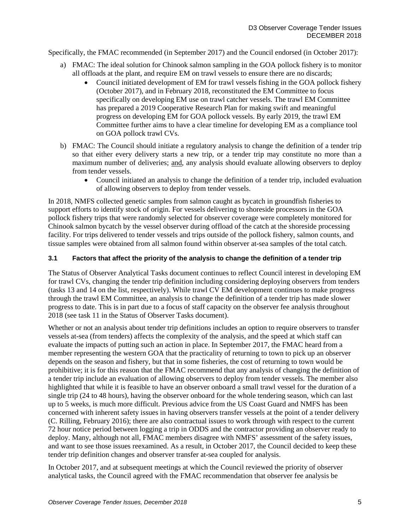Specifically, the FMAC recommended (in September 2017) and the Council endorsed (in October 2017):

- a) FMAC: The ideal solution for Chinook salmon sampling in the GOA pollock fishery is to monitor all offloads at the plant, and require EM on trawl vessels to ensure there are no discards;<br>
• Council initiated development of EM for trawl vessels fishing in the GOA pollog
	- Council initiated development of EM for trawl vessels fishing in the GOA pollock fishery (October 2017), and in February 2018, reconstituted the EM Committee to focus specifically on developing EM use on trawl catcher vessels. The trawl EM Committee has prepared a 2019 Cooperative Research Plan for making swift and meaningful progress on developing EM for GOA pollock vessels. By early 2019, the trawl EM Committee further aims to have a clear timeline for developing EM as a compliance tool on GOA pollock trawl CVs.
- b) FMAC: The Council should initiate a regulatory analysis to change the definition of a tender trip so that either every delivery starts a new trip, or a tender trip may constitute no more than a maximum number of deliveries; and, any analysis should evaluate allowing observers to deploy from tender vessels.
	- Council initiated an analysis to change the definition of a tender trip, included evaluation of allowing observers to deploy from tender vessels.

In 2018, NMFS collected genetic samples from salmon caught as bycatch in groundfish fisheries to support efforts to identify stock of origin. For vessels delivering to shoreside processors in the GOA pollock fishery trips that were randomly selected for observer coverage were completely monitored for Chinook salmon bycatch by the vessel observer during offload of the catch at the shoreside processing facility. For trips delivered to tender vessels and trips outside of the pollock fishery, salmon counts, and tissue samples were obtained from all salmon found within observer at-sea samples of the total catch.

#### <span id="page-4-0"></span>**3.1 Factors that affect the priority of the analysis to change the definition of a tender trip**

The Status of Observer Analytical Tasks document continues to reflect Council interest in developing EM for trawl CVs, changing the tender trip definition including considering deploying observers from tenders (tasks 13 and 14 on the list, respectively). While trawl CV EM development continues to make progress through the trawl EM Committee, an analysis to change the definition of a tender trip has made slower progress to date. This is in part due to a focus of staff capacity on the observer fee analysis throughout 2018 (see task 11 in the Status of Observer Tasks document).

Whether or not an analysis about tender trip definitions includes an option to require observers to transfer vessels at-sea (from tenders) affects the complexity of the analysis, and the speed at which staff can evaluate the impacts of putting such an action in place. In September 2017, the FMAC heard from a member representing the western GOA that the practicality of returning to town to pick up an observer depends on the season and fishery, but that in some fisheries, the cost of returning to town would be prohibitive; it is for this reason that the FMAC recommend that any analysis of changing the definition of a tender trip include an evaluation of allowing observers to deploy from tender vessels. The member also highlighted that while it is feasible to have an observer onboard a small trawl vessel for the duration of a single trip (24 to 48 hours), having the observer onboard for the whole tendering season, which can last up to 5 weeks, is much more difficult. Previous advice from the US Coast Guard and NMFS has been concerned with inherent safety issues in having observers transfer vessels at the point of a tender delivery (C. Rilling, February 2016); there are also contractual issues to work through with respect to the current 72 hour notice period between logging a trip in ODDS and the contractor providing an observer ready to deploy. Many, although not all, FMAC members disagree with NMFS' assessment of the safety issues, and want to see those issues reexamined. As a result, in October 2017, the Council decided to keep these tender trip definition changes and observer transfer at-sea coupled for analysis.

In October 2017, and at subsequent meetings at which the Council reviewed the priority of observer analytical tasks, the Council agreed with the FMAC recommendation that observer fee analysis be